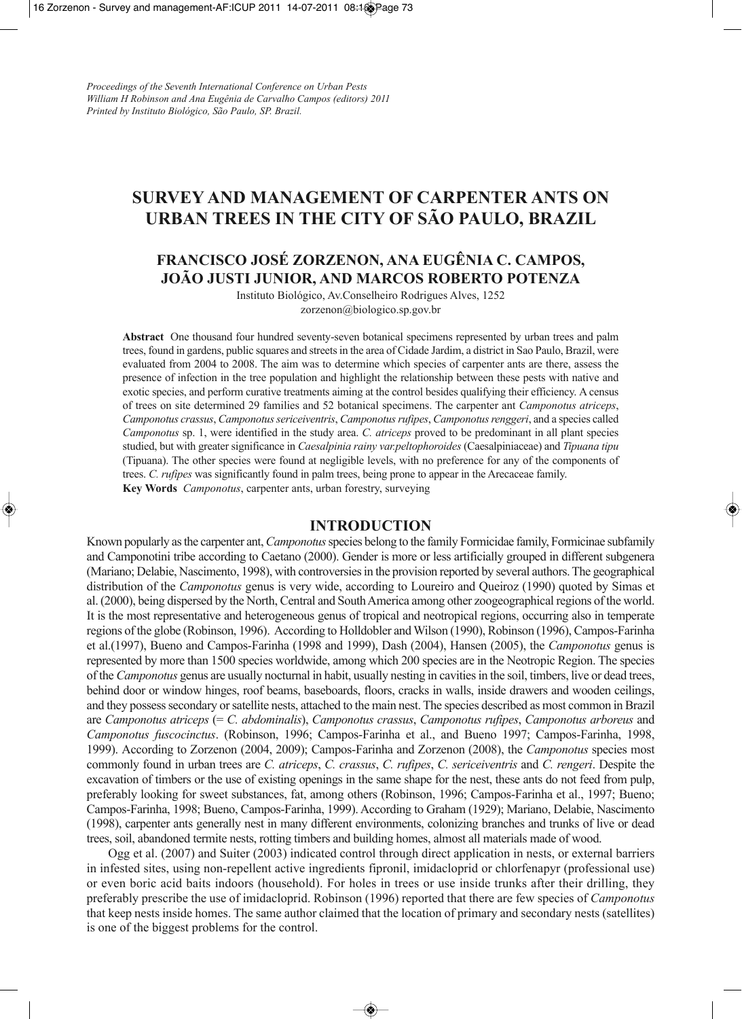# **SURVEY AND MANAGEMENT OF CARPENTER ANTS ON URBAN TREES IN THE CITY OF SÃO PAULO, BRAZIL**

## **FRANCISCO JOSÉ ZORZENON, ANA EUGÊNIA C. CAMPOS, JOÃO JUSTI JUNIOR, AND MARCOS ROBERTO POTENZA**

Instituto Biológico, Av.Conselheiro Rodrigues Alves, 1252 zorzenon@biologico.sp.gov.br

**Abstract** One thousand four hundred seventy-seven botanical specimens represented by urban trees and palm trees, found in gardens, public squares and streetsin the area of Cidade Jardim, a district in Sao Paulo, Brazil, were evaluated from 2004 to 2008. The aim was to determine which species of carpenter ants are there, assess the presence of infection in the tree population and highlight the relationship between these pests with native and exotic species, and perform curative treatments aiming at the control besides qualifying their efficiency. A census of trees on site determined 29 families and 52 botanical specimens. The carpenter ant *Camponotus atriceps*, *Camponotus crassus*, *Camponotussericeiventris*, *Camponotusrufipes*, *Camponotusrenggeri*, and a species called *Camponotus* sp. 1, were identified in the study area. *C. atriceps* proved to be predominant in all plant species studied, but with greater significance in *Caesalpinia rainy var.peltophoroides* (Caesalpiniaceae) and *Tipuana tipu* (Tipuana). The other species were found at negligible levels, with no preference for any of the components of trees. *C. rufipes* was significantly found in palm trees, being prone to appear in the Arecaceae family. **Key Words** *Camponotus*, carpenter ants, urban forestry, surveying

#### **INTRODUCTION**

Known popularly asthe carpenter ant,*Camponotus*species belong to the family Formicidae family, Formicinae subfamily and Camponotini tribe according to Caetano (2000). Gender is more or less artificially grouped in different subgenera (Mariano; Delabie, Nascimento, 1998), with controversiesin the provision reported by several authors.The geographical distribution of the *Camponotus* genus is very wide, according to Loureiro and Queiroz (1990) quoted by Simas et al. (2000), being dispersed by the North, Central and SouthAmerica among other zoogeographical regions of the world. It is the most representative and heterogeneous genus of tropical and neotropical regions, occurring also in temperate regions of the globe (Robinson, 1996). According to Holldobler andWilson (1990), Robinson (1996), Campos-Farinha et al.(1997), Bueno and Campos-Farinha (1998 and 1999), Dash (2004), Hansen (2005), the *Camponotus* genus is represented by more than 1500 species worldwide, among which 200 species are in the Neotropic Region. The species of the *Camponotus* genus are usually nocturnal in habit, usually nesting in cavitiesin the soil, timbers, live or dead trees, behind door or window hinges, roof beams, baseboards, floors, cracks in walls, inside drawers and wooden ceilings, and they possess secondary or satellite nests, attached to the main nest. The species described as most common in Brazil are *Camponotus atriceps* (= *C. abdominalis*), *Camponotus crassus*, *Camponotus rufipes*, *Camponotus arboreus* and *Camponotus fuscocinctus*. (Robinson, 1996; Campos-Farinha et al., and Bueno 1997; Campos-Farinha, 1998, 1999). According to Zorzenon (2004, 2009); Campos-Farinha and Zorzenon (2008), the *Camponotus* species most commonly found in urban trees are *C. atriceps*, *C. crassus*, *C. rufipes*, *C. sericeiventris* and *C. rengeri*. Despite the excavation of timbers or the use of existing openings in the same shape for the nest, these ants do not feed from pulp, preferably looking for sweet substances, fat, among others (Robinson, 1996; Campos-Farinha et al., 1997; Bueno; Campos-Farinha, 1998; Bueno, Campos-Farinha, 1999). According to Graham (1929); Mariano, Delabie, Nascimento (1998), carpenter ants generally nest in many different environments, colonizing branches and trunks of live or dead trees, soil, abandoned termite nests, rotting timbers and building homes, almost all materials made of wood.

Ogg et al. (2007) and Suiter (2003) indicated control through direct application in nests, or external barriers in infested sites, using non-repellent active ingredients fipronil, imidacloprid or chlorfenapyr (professional use) or even boric acid baits indoors (household). For holes in trees or use inside trunks after their drilling, they preferably prescribe the use of imidacloprid. Robinson (1996) reported that there are few species of *Camponotus* that keep nests inside homes. The same author claimed that the location of primary and secondary nests (satellites) is one of the biggest problems for the control.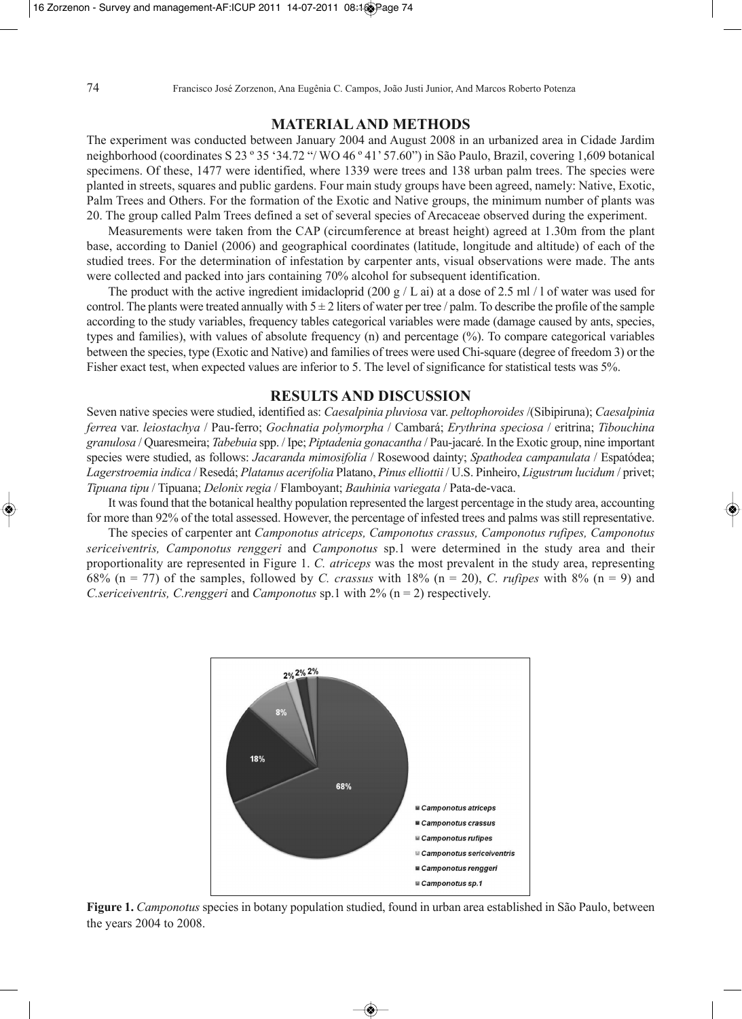#### **MATERIALAND METHODS**

The experiment was conducted between January 2004 and August 2008 in an urbanized area in Cidade Jardim neighborhood (coordinates S 23 º 35 '34.72 "/ WO 46 º 41' 57.60") in São Paulo, Brazil, covering 1,609 botanical specimens. Of these, 1477 were identified, where 1339 were trees and 138 urban palm trees. The species were planted in streets, squares and public gardens. Four main study groups have been agreed, namely: Native, Exotic, Palm Trees and Others. For the formation of the Exotic and Native groups, the minimum number of plants was 20. The group called Palm Trees defined a set of several species of Arecaceae observed during the experiment.

Measurements were taken from the CAP (circumference at breast height) agreed at 1.30m from the plant base, according to Daniel (2006) and geographical coordinates (latitude, longitude and altitude) of each of the studied trees. For the determination of infestation by carpenter ants, visual observations were made. The ants were collected and packed into jars containing 70% alcohol for subsequent identification.

The product with the active ingredient imidacloprid (200 g / L ai) at a dose of 2.5 ml / l of water was used for control. The plants were treated annually with  $5 \pm 2$  liters of water per tree / palm. To describe the profile of the sample according to the study variables, frequency tables categorical variables were made (damage caused by ants, species, types and families), with values of absolute frequency (n) and percentage (%). To compare categorical variables between the species, type (Exotic and Native) and families of trees were used Chi-square (degree of freedom 3) or the Fisher exact test, when expected values are inferior to 5. The level of significance for statistical tests was 5%.

#### **RESULTS AND DISCUSSION**

Seven native species were studied, identified as: *Caesalpinia pluviosa* var. *peltophoroides* /(Sibipiruna); *Caesalpinia ferrea* var. *leiostachya* / Pau-ferro; *Gochnatia polymorpha* / Cambará; *Erythrina speciosa* / eritrina; *Tibouchina granulosa* / Quaresmeira; *Tabebuia* spp. / Ipe; *Piptadenia gonacantha* / Pau-jacaré. In the Exotic group, nine important species were studied, as follows: *Jacaranda mimosifolia* / Rosewood dainty; *Spathodea campanulata* / Espatódea; *Lagerstroemia indica* / Resedá; *Platanus acerifolia* Platano, *Pinus elliottii* / U.S. Pinheiro, *Ligustrum lucidum* / privet; *Tipuana tipu* / Tipuana; *Delonix regia* / Flamboyant; *Bauhinia variegata* / Pata-de-vaca.

It wasfound that the botanical healthy population represented the largest percentage in the study area, accounting for more than 92% of the total assessed. However, the percentage of infested trees and palms was still representative.

The species of carpenter ant *Camponotus atriceps, Camponotus crassus, Camponotus rufipes, Camponotus sericeiventris, Camponotus renggeri* and *Camponotus* sp.1 were determined in the study area and their proportionality are represented in Figure 1. *C. atriceps* was the most prevalent in the study area, representing 68% (n = 77) of the samples, followed by *C. crassus* with 18% (n = 20), *C. rufipes* with 8% (n = 9) and *C.sericeiventris, C.renggeri* and *Camponotus* sp.1 with 2% (n = 2) respectively.



**Figure 1.** *Camponotus* species in botany population studied, found in urban area established in São Paulo, between the years 2004 to 2008.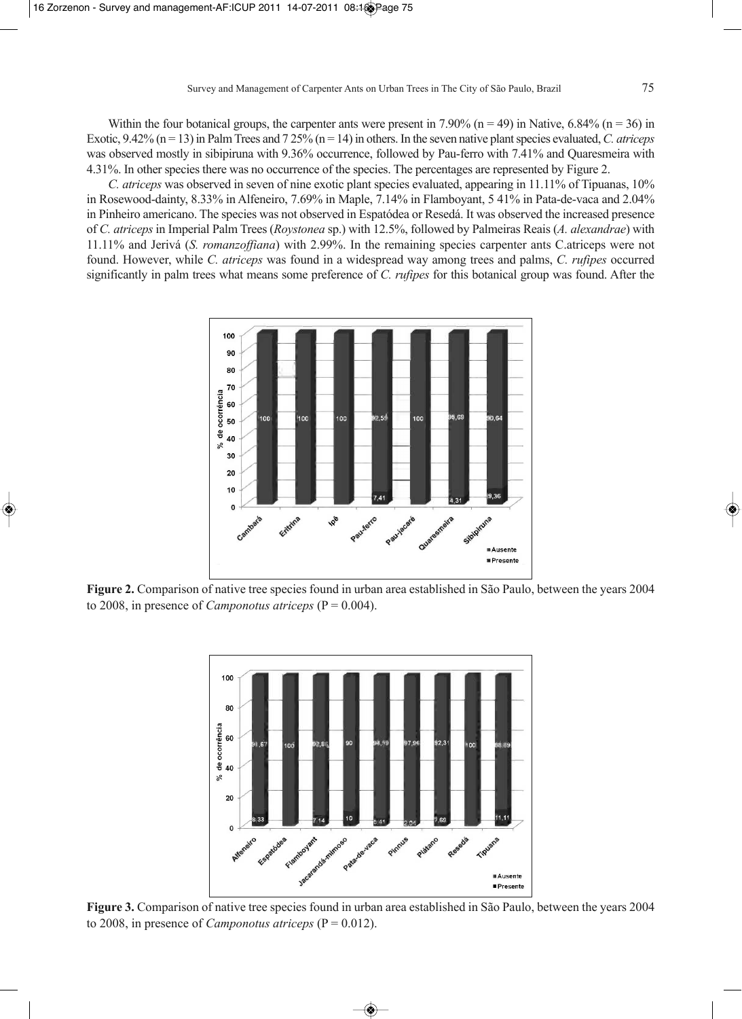Within the four botanical groups, the carpenter ants were present in 7.90% (n = 49) in Native, 6.84% (n = 36) in Exotic, 9.42% (n = 13) in Palm Trees and 7 25% (n = 14) in others. In the seven native plant species evaluated, C. *atriceps* was observed mostly in sibipiruna with 9.36% occurrence, followed by Pau-ferro with 7.41% and Quaresmeira with 4.31%. In other species there was no occurrence of the species. The percentages are represented by Figure 2.

*C. atriceps* was observed in seven of nine exotic plant species evaluated, appearing in 11.11% of Tipuanas, 10% in Rosewood-dainty, 8.33% in Alfeneiro, 7.69% in Maple, 7.14% in Flamboyant, 5 41% in Pata-de-vaca and 2.04% in Pinheiro americano. The species was not observed in Espatódea or Resedá. It was observed the increased presence of *C. atriceps* in Imperial Palm Trees (*Roystonea* sp.) with 12.5%, followed by Palmeiras Reais (*A. alexandrae*) with 11.11% and Jerivá (*S. romanzoffiana*) with 2.99%. In the remaining species carpenter ants C.atriceps were not found. However, while *C. atriceps* was found in a widespread way among trees and palms, *C. rufipes* occurred significantly in palm trees what means some preference of *C. rufipes* for this botanical group was found. After the



**Figure 2.** Comparison of native tree species found in urban area established in São Paulo, between the years 2004 to 2008, in presence of *Camponotus atriceps* ( $P = 0.004$ ).



**Figure 3.** Comparison of native tree species found in urban area established in São Paulo, between the years 2004 to 2008, in presence of *Camponotus atriceps* ( $P = 0.012$ ).